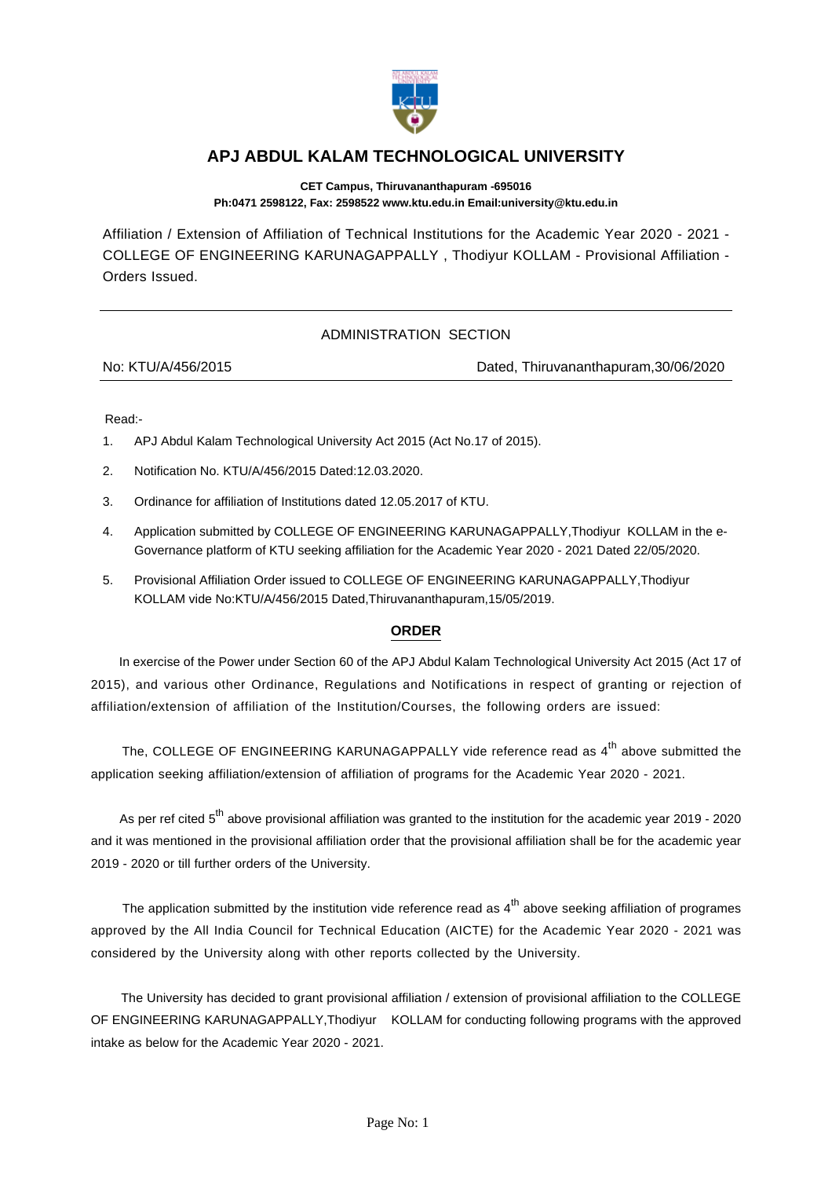

## **APJ ABDUL KALAM TECHNOLOGICAL UNIVERSITY**

**CET Campus, Thiruvananthapuram -695016 Ph:0471 2598122, Fax: 2598522 www.ktu.edu.in Email:university@ktu.edu.in**

Affiliation / Extension of Affiliation of Technical Institutions for the Academic Year 2020 - 2021 - COLLEGE OF ENGINEERING KARUNAGAPPALLY , Thodiyur KOLLAM - Provisional Affiliation - Orders Issued.

## ADMINISTRATION SECTION

No: KTU/A/456/2015 Dated, Thiruvananthapuram,30/06/2020

Read:-

- 1. APJ Abdul Kalam Technological University Act 2015 (Act No.17 of 2015).
- 2. Notification No. KTU/A/456/2015 Dated:12.03.2020.
- 3. Ordinance for affiliation of Institutions dated 12.05.2017 of KTU.
- 4. Application submitted by COLLEGE OF ENGINEERING KARUNAGAPPALLY,Thodiyur KOLLAM in the e-Governance platform of KTU seeking affiliation for the Academic Year 2020 - 2021 Dated 22/05/2020.
- 5. Provisional Affiliation Order issued to COLLEGE OF ENGINEERING KARUNAGAPPALLY,Thodiyur KOLLAM vide No:KTU/A/456/2015 Dated,Thiruvananthapuram,15/05/2019.

## **ORDER**

 In exercise of the Power under Section 60 of the APJ Abdul Kalam Technological University Act 2015 (Act 17 of 2015), and various other Ordinance, Regulations and Notifications in respect of granting or rejection of affiliation/extension of affiliation of the Institution/Courses, the following orders are issued:

The, COLLEGE OF ENGINEERING KARUNAGAPPALLY vide reference read as  $4<sup>th</sup>$  above submitted the application seeking affiliation/extension of affiliation of programs for the Academic Year 2020 - 2021.

As per ref cited  $5<sup>th</sup>$  above provisional affiliation was granted to the institution for the academic year 2019 - 2020 and it was mentioned in the provisional affiliation order that the provisional affiliation shall be for the academic year 2019 - 2020 or till further orders of the University.

The application submitted by the institution vide reference read as  $4<sup>th</sup>$  above seeking affiliation of programes approved by the All India Council for Technical Education (AICTE) for the Academic Year 2020 - 2021 was considered by the University along with other reports collected by the University.

 The University has decided to grant provisional affiliation / extension of provisional affiliation to the COLLEGE OF ENGINEERING KARUNAGAPPALLY,Thodiyur KOLLAM for conducting following programs with the approved intake as below for the Academic Year 2020 - 2021.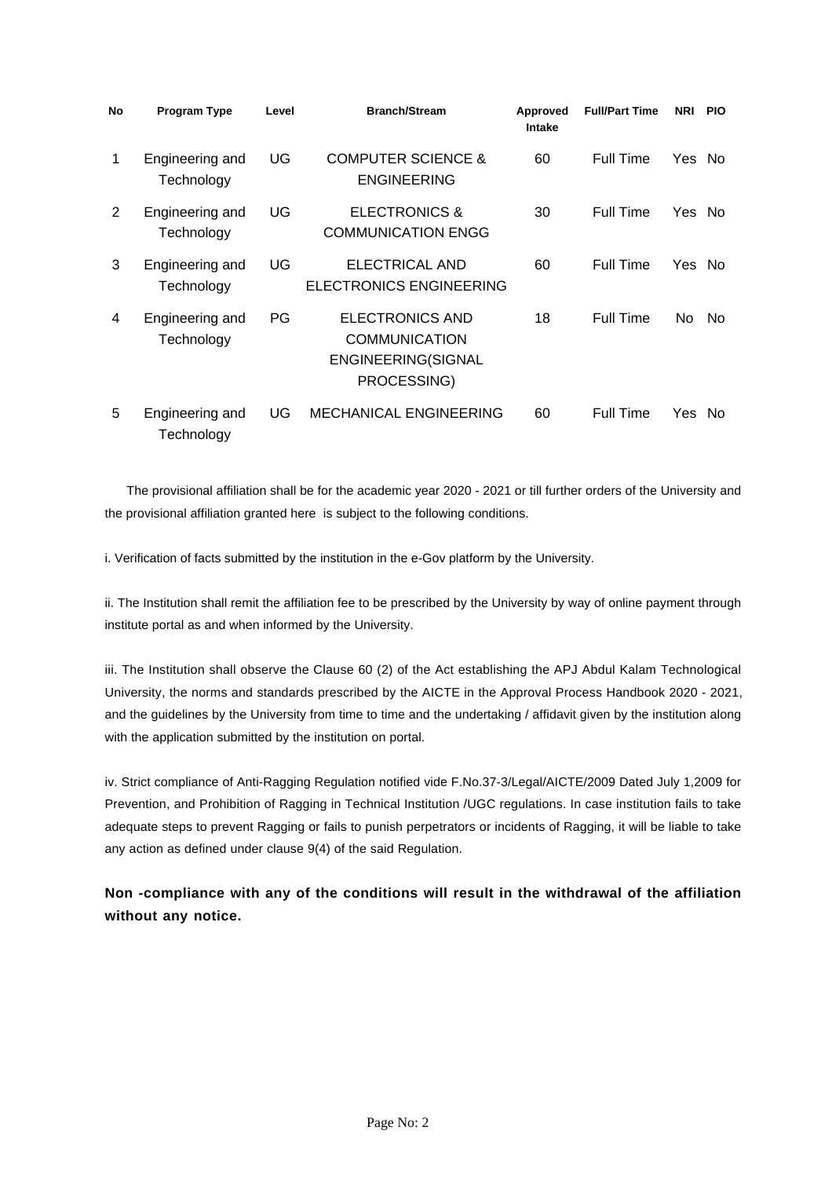| No | <b>Program Type</b>           | Level     | <b>Branch/Stream</b>                                                                | Approved<br>Intake | <b>Full/Part Time</b> | NRI    | <b>PIO</b> |
|----|-------------------------------|-----------|-------------------------------------------------------------------------------------|--------------------|-----------------------|--------|------------|
| 1  | Engineering and<br>Technology | UG        | <b>COMPUTER SCIENCE &amp;</b><br><b>ENGINEERING</b>                                 | 60                 | Full Time             | Yes No |            |
| 2  | Engineering and<br>Technology | UG        | ELECTRONICS &<br><b>COMMUNICATION ENGG</b>                                          | 30                 | Full Time             | Yes No |            |
| 3  | Engineering and<br>Technology | UG        | ELECTRICAL AND<br><b>ELECTRONICS ENGINEERING</b>                                    | 60                 | Full Time             | Yes No |            |
| 4  | Engineering and<br>Technology | <b>PG</b> | <b>ELECTRONICS AND</b><br><b>COMMUNICATION</b><br>ENGINEERING(SIGNAL<br>PROCESSING) | 18                 | Full Time             | No.    | No.        |
| 5  | Engineering and<br>Technology | UG        | <b>MECHANICAL ENGINEERING</b>                                                       | 60                 | <b>Full Time</b>      | Yes    | No.        |

 The provisional affiliation shall be for the academic year 2020 - 2021 or till further orders of the University and the provisional affiliation granted here is subject to the following conditions.

i. Verification of facts submitted by the institution in the e-Gov platform by the University.

ii. The Institution shall remit the affiliation fee to be prescribed by the University by way of online payment through institute portal as and when informed by the University.

iii. The Institution shall observe the Clause 60 (2) of the Act establishing the APJ Abdul Kalam Technological University, the norms and standards prescribed by the AICTE in the Approval Process Handbook 2020 - 2021, and the guidelines by the University from time to time and the undertaking / affidavit given by the institution along with the application submitted by the institution on portal.

iv. Strict compliance of Anti-Ragging Regulation notified vide F.No.37-3/Legal/AICTE/2009 Dated July 1,2009 for Prevention, and Prohibition of Ragging in Technical Institution /UGC regulations. In case institution fails to take adequate steps to prevent Ragging or fails to punish perpetrators or incidents of Ragging, it will be liable to take any action as defined under clause 9(4) of the said Regulation.

**Non -compliance with any of the conditions will result in the withdrawal of the affiliation without any notice.**